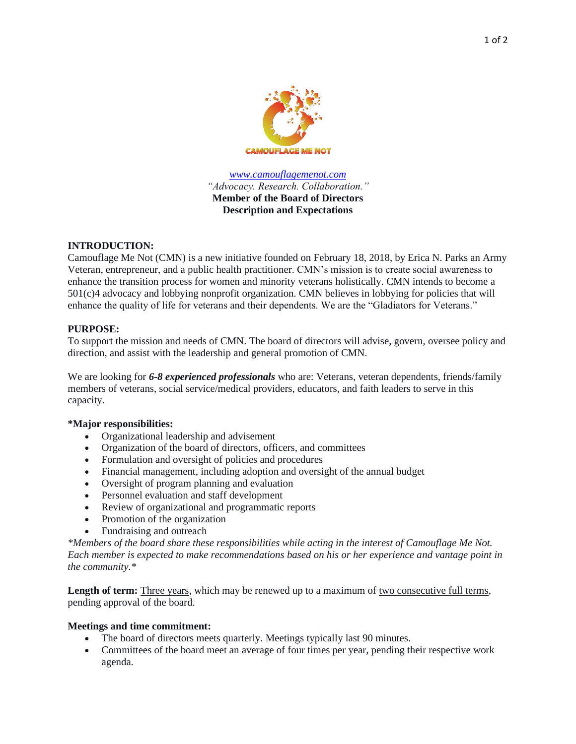

*[www.camouflagemenot.com](http://www.camouflagemenot.com/) "Advocacy. Research. Collaboration."* **Member of the Board of Directors Description and Expectations**

## **INTRODUCTION:**

Camouflage Me Not (CMN) is a new initiative founded on February 18, 2018, by Erica N. Parks an Army Veteran, entrepreneur, and a public health practitioner. CMN's mission is to create social awareness to enhance the transition process for women and minority veterans holistically. CMN intends to become a 501(c)4 advocacy and lobbying nonprofit organization. CMN believes in lobbying for policies that will enhance the quality of life for veterans and their dependents. We are the "Gladiators for Veterans."

### **PURPOSE:**

To support the mission and needs of CMN. The board of directors will advise, govern, oversee policy and direction, and assist with the leadership and general promotion of CMN.

We are looking for **6-8 experienced professionals** who are: Veterans, veteran dependents, friends/family members of veterans, social service/medical providers, educators, and faith leaders to serve in this capacity.

## **\*Major responsibilities:**

- Organizational leadership and advisement
- Organization of the board of directors, officers, and committees
- Formulation and oversight of policies and procedures
- Financial management, including adoption and oversight of the annual budget
- Oversight of program planning and evaluation
- Personnel evaluation and staff development
- Review of organizational and programmatic reports
- Promotion of the organization
- Fundraising and outreach

*\*Members of the board share these responsibilities while acting in the interest of Camouflage Me Not. Each member is expected to make recommendations based on his or her experience and vantage point in the community.\**

Length of term: Three years, which may be renewed up to a maximum of <u>two consecutive full terms</u>, pending approval of the board.

## **Meetings and time commitment:**

- The board of directors meets quarterly. Meetings typically last 90 minutes.
- Committees of the board meet an average of four times per year, pending their respective work agenda.